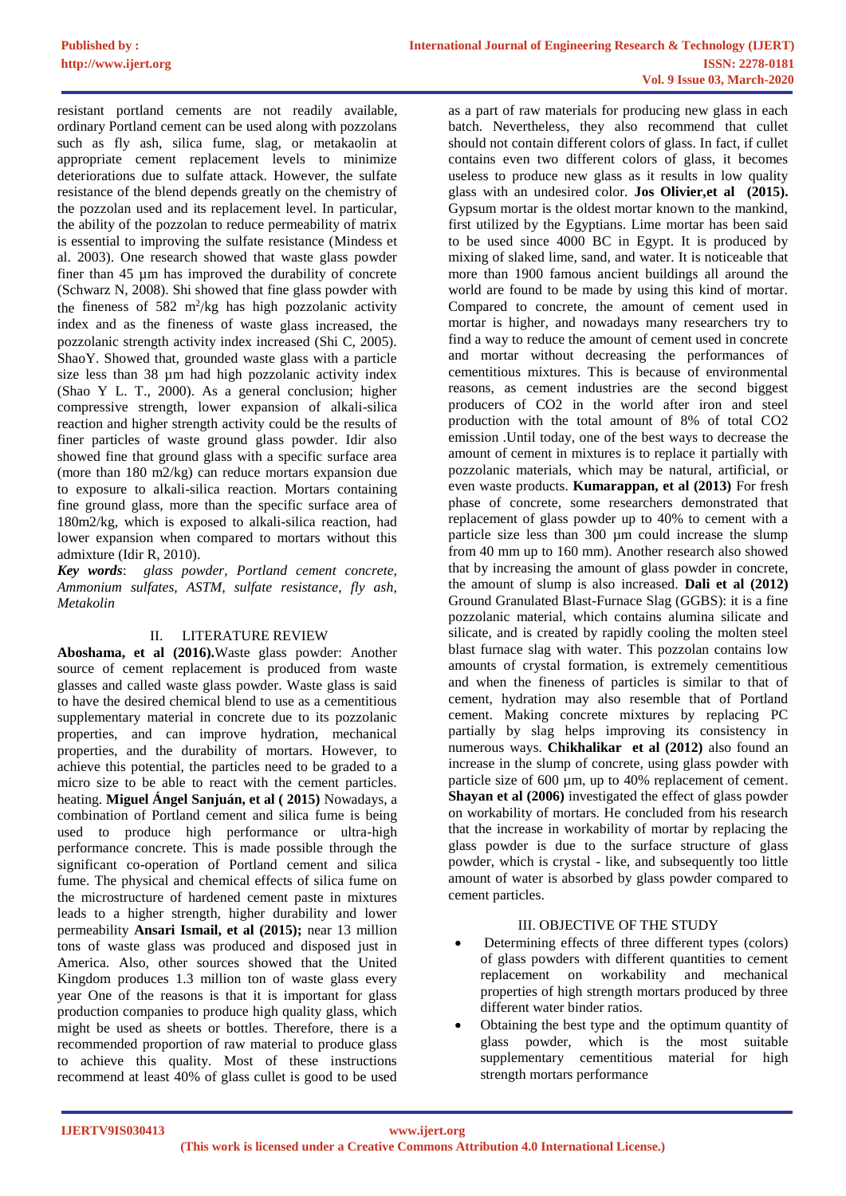resistant portland cements are not readily available, ordinary Portland cement can be used along with pozzolans such as fly ash, silica fume, slag, or metakaolin at appropriate cement replacement levels to minimize deteriorations due to sulfate attack. However, the sulfate resistance of the blend depends greatly on the chemistry of the pozzolan used and its replacement level. In particular, the ability of the pozzolan to reduce permeability of matrix is essential to improving the sulfate resistance (Mindess et al. 2003). One research showed that waste glass powder finer than 45 µm has improved the durability of concrete (Schwarz N, 2008). Shi showed that fine glass powder with the fineness of 582  $m^2/kg$  has high pozzolanic activity index and as the fineness of waste glass increased, the pozzolanic strength activity index increased (Shi C, 2005). ShaoY. Showed that, grounded waste glass with a particle size less than 38 µm had high pozzolanic activity index (Shao Y L. T., 2000). As a general conclusion; higher compressive strength, lower expansion of alkali-silica reaction and higher strength activity could be the results of finer particles of waste ground glass powder. Idir also showed fine that ground glass with a specific surface area (more than 180 m2/kg) can reduce mortars expansion due to exposure to alkali-silica reaction. Mortars containing fine ground glass, more than the specific surface area of 180m2/kg, which is exposed to alkali-silica reaction, had lower expansion when compared to mortars without this admixture (Idir R, 2010).

*Key words*: *glass powder, Portland cement concrete, Ammonium sulfates, ASTM, sulfate resistance, fly ash, Metakolin*

### II. LITERATURE REVIEW

**Aboshama, et al (2016).**Waste glass powder: Another source of cement replacement is produced from waste glasses and called waste glass powder. Waste glass is said to have the desired chemical blend to use as a cementitious supplementary material in concrete due to its pozzolanic properties, and can improve hydration, mechanical properties, and the durability of mortars. However, to achieve this potential, the particles need to be graded to a micro size to be able to react with the cement particles. heating. **Miguel Ángel Sanjuán, et al ( 2015)** Nowadays, a combination of Portland cement and silica fume is being used to produce high performance or ultra-high performance concrete. This is made possible through the significant co-operation of Portland cement and silica fume. The physical and chemical effects of silica fume on the microstructure of hardened cement paste in mixtures leads to a higher strength, higher durability and lower permeability **Ansari Ismail, et al (2015);** near 13 million tons of waste glass was produced and disposed just in America. Also, other sources showed that the United Kingdom produces 1.3 million ton of waste glass every year One of the reasons is that it is important for glass production companies to produce high quality glass, which might be used as sheets or bottles. Therefore, there is a recommended proportion of raw material to produce glass to achieve this quality. Most of these instructions recommend at least 40% of glass cullet is good to be used

as a part of raw materials for producing new glass in each batch. Nevertheless, they also recommend that cullet should not contain different colors of glass. In fact, if cullet contains even two different colors of glass, it becomes useless to produce new glass as it results in low quality glass with an undesired color. **Jos Olivier,et al (2015).** Gypsum mortar is the oldest mortar known to the mankind, first utilized by the Egyptians. Lime mortar has been said to be used since 4000 BC in Egypt. It is produced by mixing of slaked lime, sand, and water. It is noticeable that more than 1900 famous ancient buildings all around the world are found to be made by using this kind of mortar. Compared to concrete, the amount of cement used in mortar is higher, and nowadays many researchers try to find a way to reduce the amount of cement used in concrete and mortar without decreasing the performances of cementitious mixtures. This is because of environmental reasons, as cement industries are the second biggest producers of CO2 in the world after iron and steel production with the total amount of 8% of total CO2 emission .Until today, one of the best ways to decrease the amount of cement in mixtures is to replace it partially with pozzolanic materials, which may be natural, artificial, or even waste products. **Kumarappan, et al (2013)** For fresh phase of concrete, some researchers demonstrated that replacement of glass powder up to 40% to cement with a particle size less than 300 µm could increase the slump from 40 mm up to 160 mm). Another research also showed that by increasing the amount of glass powder in concrete, the amount of slump is also increased. **Dali et al (2012)** Ground Granulated Blast-Furnace Slag (GGBS): it is a fine pozzolanic material, which contains alumina silicate and silicate, and is created by rapidly cooling the molten steel blast furnace slag with water. This pozzolan contains low amounts of crystal formation, is extremely cementitious and when the fineness of particles is similar to that of cement, hydration may also resemble that of Portland cement. Making concrete mixtures by replacing PC partially by slag helps improving its consistency in numerous ways. **Chikhalikar et al (2012)** also found an increase in the slump of concrete, using glass powder with particle size of 600 µm, up to 40% replacement of cement. **Shayan et al (2006)** investigated the effect of glass powder on workability of mortars. He concluded from his research that the increase in workability of mortar by replacing the glass powder is due to the surface structure of glass powder, which is crystal - like, and subsequently too little amount of water is absorbed by glass powder compared to cement particles.

### III. OBJECTIVE OF THE STUDY

- Determining effects of three different types (colors) of glass powders with different quantities to cement replacement on workability and mechanical properties of high strength mortars produced by three different water binder ratios.
- Obtaining the best type and the optimum quantity of glass powder, which is the most suitable supplementary cementitious material for high strength mortars performance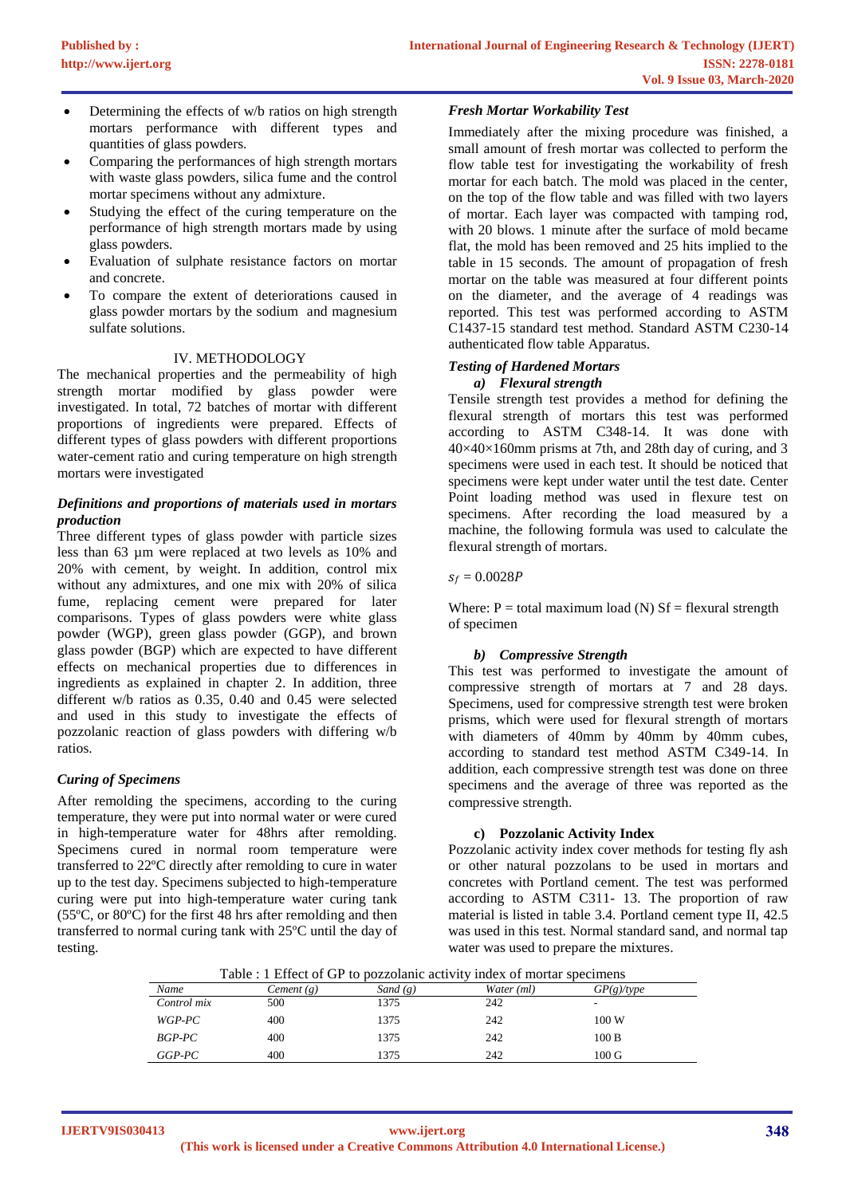- Determining the effects of w/b ratios on high strength mortars performance with different types and quantities of glass powders.
- Comparing the performances of high strength mortars with waste glass powders, silica fume and the control mortar specimens without any admixture.
- Studying the effect of the curing temperature on the performance of high strength mortars made by using glass powders.
- Evaluation of sulphate resistance factors on mortar and concrete.
- To compare the extent of deteriorations caused in glass powder mortars by the sodium and magnesium sulfate solutions.

#### IV. METHODOLOGY

The mechanical properties and the permeability of high strength mortar modified by glass powder were investigated. In total, 72 batches of mortar with different proportions of ingredients were prepared. Effects of different types of glass powders with different proportions water-cement ratio and curing temperature on high strength mortars were investigated

## *Definitions and proportions of materials used in mortars production*

Three different types of glass powder with particle sizes less than 63 µm were replaced at two levels as 10% and 20% with cement, by weight. In addition, control mix without any admixtures, and one mix with 20% of silica fume, replacing cement were prepared for later comparisons. Types of glass powders were white glass powder (WGP), green glass powder (GGP), and brown glass powder (BGP) which are expected to have different effects on mechanical properties due to differences in ingredients as explained in chapter 2. In addition, three different w/b ratios as 0.35, 0.40 and 0.45 were selected and used in this study to investigate the effects of pozzolanic reaction of glass powders with differing w/b ratios.

### *Curing of Specimens*

After remolding the specimens, according to the curing temperature, they were put into normal water or were cured in high-temperature water for 48hrs after remolding. Specimens cured in normal room temperature were transferred to 22ºC directly after remolding to cure in water up to the test day. Specimens subjected to high-temperature curing were put into high-temperature water curing tank (55ºC, or 80ºC) for the first 48 hrs after remolding and then transferred to normal curing tank with 25ºC until the day of testing.

### *Fresh Mortar Workability Test*

Immediately after the mixing procedure was finished, a small amount of fresh mortar was collected to perform the flow table test for investigating the workability of fresh mortar for each batch. The mold was placed in the center, on the top of the flow table and was filled with two layers of mortar. Each layer was compacted with tamping rod, with 20 blows. 1 minute after the surface of mold became flat, the mold has been removed and 25 hits implied to the table in 15 seconds. The amount of propagation of fresh mortar on the table was measured at four different points on the diameter, and the average of 4 readings was reported. This test was performed according to ASTM C1437-15 standard test method. Standard ASTM C230-14 authenticated flow table Apparatus.

#### *Testing of Hardened Mortars a) Flexural strength*

Tensile strength test provides a method for defining the flexural strength of mortars this test was performed according to ASTM C348-14. It was done with  $40\times40\times160$  mm prisms at 7th, and 28th day of curing, and 3 specimens were used in each test. It should be noticed that specimens were kept under water until the test date. Center Point loading method was used in flexure test on specimens. After recording the load measured by a machine, the following formula was used to calculate the flexural strength of mortars.

 $s_f = 0.0028P$ 

Where:  $P =$  total maximum load (N) Sf = flexural strength of specimen

### *b) Compressive Strength*

This test was performed to investigate the amount of compressive strength of mortars at 7 and 28 days. Specimens, used for compressive strength test were broken prisms, which were used for flexural strength of mortars with diameters of 40mm by 40mm by 40mm cubes, according to standard test method ASTM C349-14. In addition, each compressive strength test was done on three specimens and the average of three was reported as the compressive strength.

### **c) Pozzolanic Activity Index**

Pozzolanic activity index cover methods for testing fly ash or other natural pozzolans to be used in mortars and concretes with Portland cement. The test was performed according to ASTM C311- 13. The proportion of raw material is listed in table 3.4. Portland cement type II, 42.5 was used in this test. Normal standard sand, and normal tap water was used to prepare the mixtures.

Table : 1 Effect of GP to pozzolanic activity index of mortar specimens

|             |            |            | Twent : I Enter of St to pollomine artistic, may be mortal operations |                 |  |
|-------------|------------|------------|-----------------------------------------------------------------------|-----------------|--|
| Name        | Cement (g) | Sand $(g)$ | Water (ml)                                                            | GP(g)/type      |  |
| Control mix | 500        | 1375       | 242                                                                   |                 |  |
| WGP-PC      | 400        | 1375       | 242                                                                   | 100W            |  |
| BGP-PC      | 400        | 1375       | 242                                                                   | 100B            |  |
| $GGP-PC$    | 400        | 1375       | 242                                                                   | $100 \text{ G}$ |  |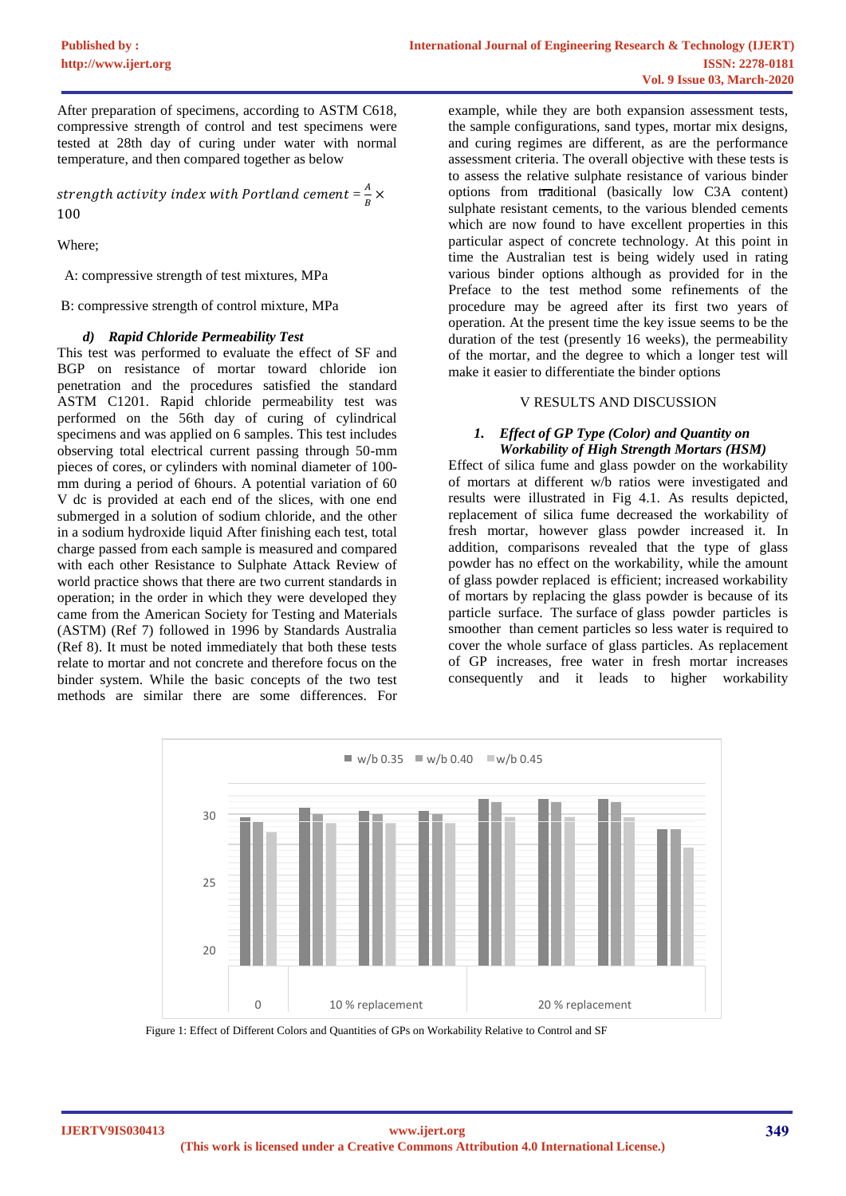After preparation of specimens, according to ASTM C618, compressive strength of control and test specimens were tested at 28th day of curing under water with normal temperature, and then compared together as below

strength activity index with Portland cement =  $\frac{A}{R}$  $\frac{A}{B}$   $\times$ 100

Where;

A: compressive strength of test mixtures, MPa

B: compressive strength of control mixture, MPa

#### *d) Rapid Chloride Permeability Test*

This test was performed to evaluate the effect of SF and BGP on resistance of mortar toward chloride ion penetration and the procedures satisfied the standard ASTM C1201. Rapid chloride permeability test was performed on the 56th day of curing of cylindrical specimens and was applied on 6 samples. This test includes observing total electrical current passing through 50-mm pieces of cores, or cylinders with nominal diameter of 100 mm during a period of 6hours. A potential variation of 60 V dc is provided at each end of the slices, with one end submerged in a solution of sodium chloride, and the other in a sodium hydroxide liquid After finishing each test, total charge passed from each sample is measured and compared with each other Resistance to Sulphate Attack Review of world practice shows that there are two current standards in operation; in the order in which they were developed they came from the American Society for Testing and Materials (ASTM) (Ref 7) followed in 1996 by Standards Australia (Ref 8). It must be noted immediately that both these tests relate to mortar and not concrete and therefore focus on the binder system. While the basic concepts of the two test methods are similar there are some differences. For

example, while they are both expansion assessment tests, the sample configurations, sand types, mortar mix designs, and curing regimes are different, as are the performance assessment criteria. The overall objective with these tests is to assess the relative sulphate resistance of various binder options from traditional (basically low C3A content) sulphate resistant cements, to the various blended cements which are now found to have excellent properties in this particular aspect of concrete technology. At this point in time the Australian test is being widely used in rating various binder options although as provided for in the Preface to the test method some refinements of the procedure may be agreed after its first two years of operation. At the present time the key issue seems to be the duration of the test (presently 16 weeks), the permeability of the mortar, and the degree to which a longer test will make it easier to differentiate the binder options

### V RESULTS AND DISCUSSION

#### *1. Effect of GP Type (Color) and Quantity on Workability of High Strength Mortars (HSM)*

Effect of silica fume and glass powder on the workability of mortars at different w/b ratios were investigated and results were illustrated in Fig 4.1. As results depicted, replacement of silica fume decreased the workability of fresh mortar, however glass powder increased it. In addition, comparisons revealed that the type of glass powder has no effect on the workability, while the amount of glass powder replaced is efficient; increased workability of mortars by replacing the glass powder is because of its particle surface. The surface of glass powder particles is smoother than cement particles so less water is required to cover the whole surface of glass particles. As replacement of GP increases, free water in fresh mortar increases consequently and it leads to higher workability



Figure 1: Effect of Different Colors and Quantities of GPs on Workability Relative to Control and SF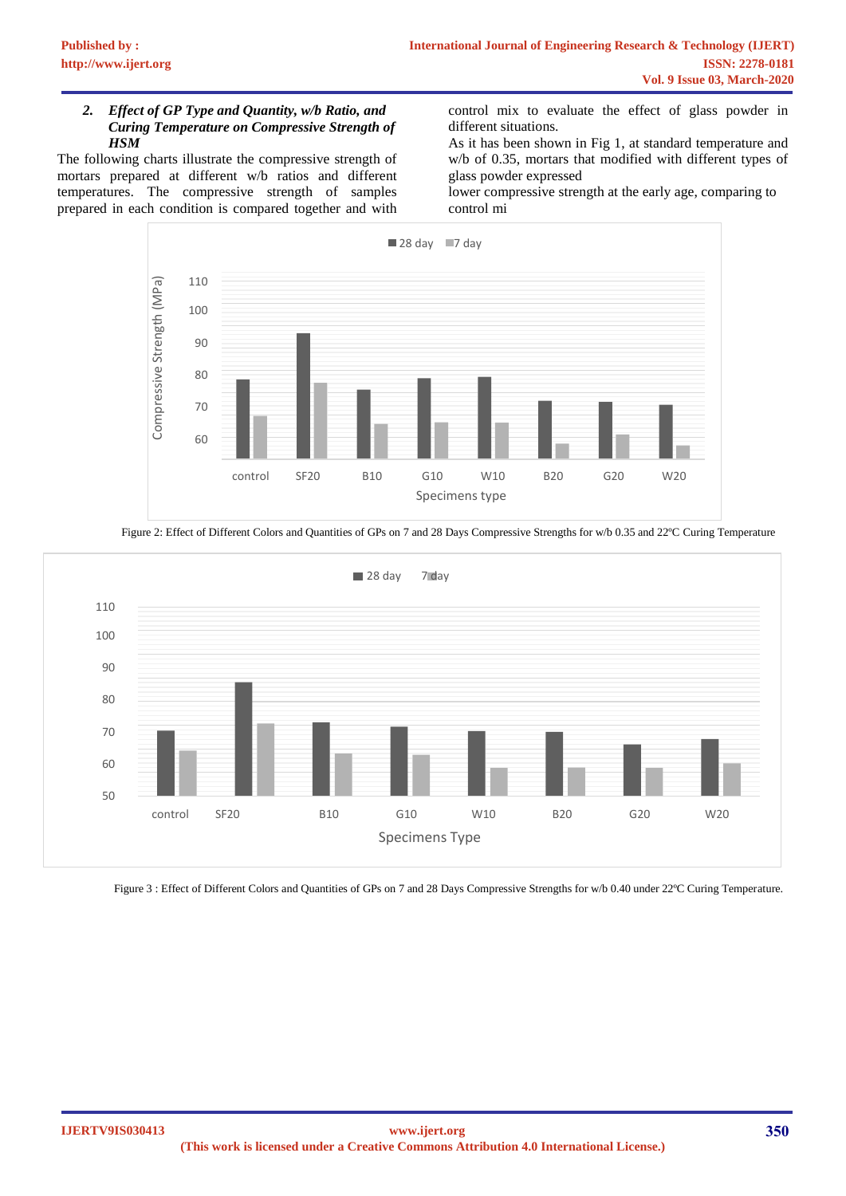### *2. Effect of GP Type and Quantity, w/b Ratio, and Curing Temperature on Compressive Strength of HSM*

The following charts illustrate the compressive strength of mortars prepared at different w/b ratios and different temperatures. The compressive strength of samples prepared in each condition is compared together and with

control mix to evaluate the effect of glass powder in different situations.

As it has been shown in Fig 1, at standard temperature and w/b of 0.35, mortars that modified with different types of glass powder expressed

lower compressive strength at the early age, comparing to control mi



Figure 2: Effect of Different Colors and Quantities of GPs on 7 and 28 Days Compressive Strengths for w/b 0.35 and 22°C Curing Temperature



Figure 3 : Effect of Different Colors and Quantities of GPs on 7 and 28 Days Compressive Strengths for w/b 0.40 under 22°C Curing Temperature.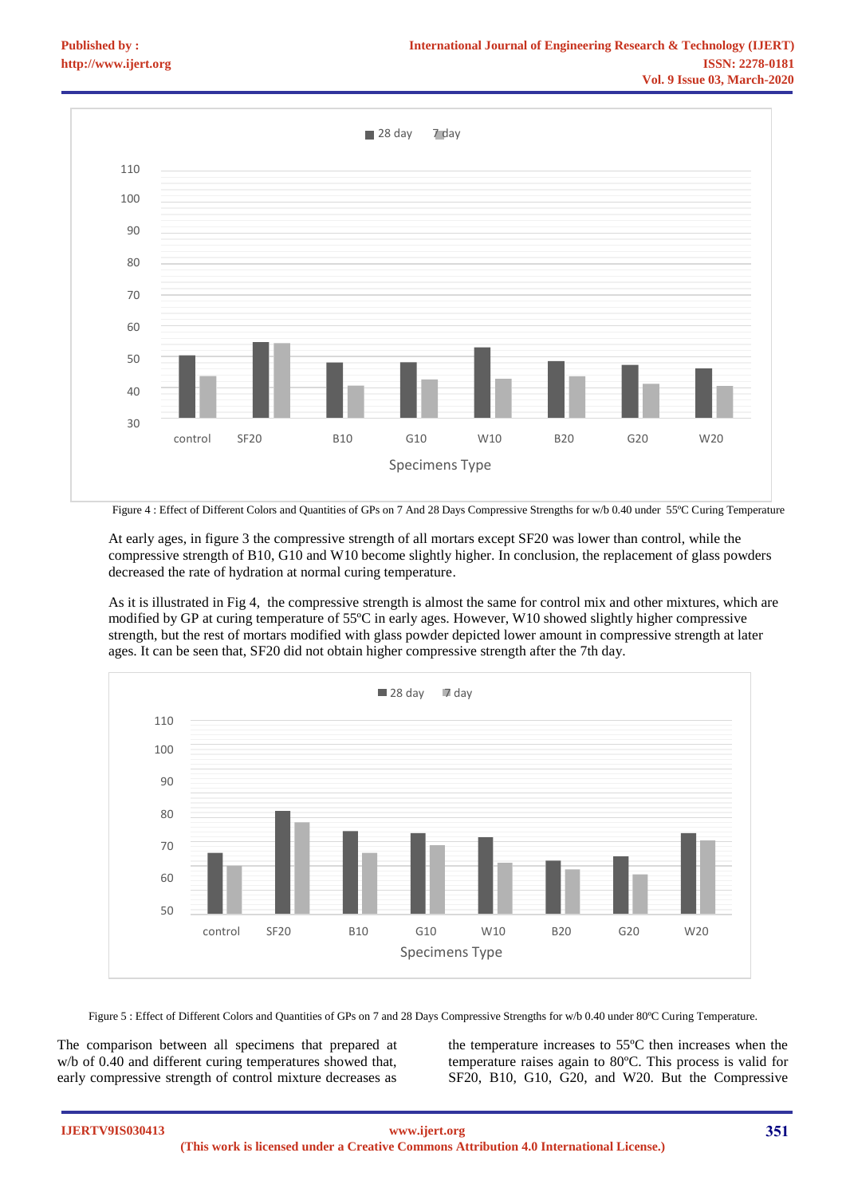

At early ages, in figure 3 the compressive strength of all mortars except SF20 was lower than control, while the compressive strength of B10, G10 and W10 become slightly higher. In conclusion, the replacement of glass powders decreased the rate of hydration at normal curing temperature.

As it is illustrated in Fig 4, the compressive strength is almost the same for control mix and other mixtures, which are modified by GP at curing temperature of 55ºC in early ages. However, W10 showed slightly higher compressive strength, but the rest of mortars modified with glass powder depicted lower amount in compressive strength at later ages. It can be seen that, SF20 did not obtain higher compressive strength after the 7th day.



Figure 5 : Effect of Different Colors and Quantities of GPs on 7 and 28 Days Compressive Strengths for w/b 0.40 under 80°C Curing Temperature.

The comparison between all specimens that prepared at w/b of 0.40 and different curing temperatures showed that, early compressive strength of control mixture decreases as

the temperature increases to 55ºC then increases when the temperature raises again to 80ºC. This process is valid for SF20, B10, G10, G20, and W20. But the Compressive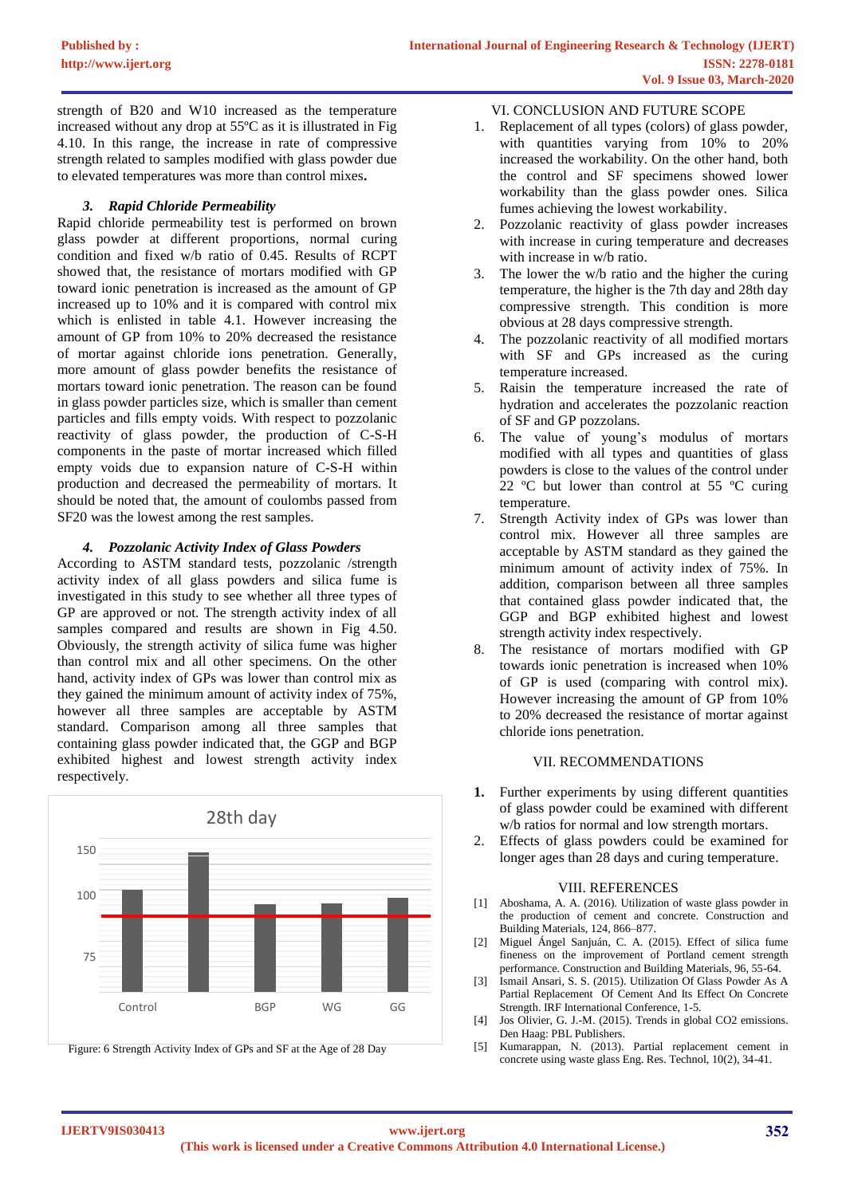strength of B20 and W10 increased as the temperature increased without any drop at 55ºC as it is illustrated in Fig 4.10. In this range, the increase in rate of compressive strength related to samples modified with glass powder due to elevated temperatures was more than control mixes**.** 

# *3. Rapid Chloride Permeability*

Rapid chloride permeability test is performed on brown glass powder at different proportions, normal curing condition and fixed w/b ratio of 0.45. Results of RCPT showed that, the resistance of mortars modified with GP toward ionic penetration is increased as the amount of GP increased up to 10% and it is compared with control mix which is enlisted in table 4.1. However increasing the amount of GP from 10% to 20% decreased the resistance of mortar against chloride ions penetration. Generally, more amount of glass powder benefits the resistance of mortars toward ionic penetration. The reason can be found in glass powder particles size, which is smaller than cement particles and fills empty voids. With respect to pozzolanic reactivity of glass powder, the production of C-S-H components in the paste of mortar increased which filled empty voids due to expansion nature of C-S-H within production and decreased the permeability of mortars. It should be noted that, the amount of coulombs passed from SF20 was the lowest among the rest samples.

### *4. Pozzolanic Activity Index of Glass Powders*

According to ASTM standard tests, pozzolanic /strength activity index of all glass powders and silica fume is investigated in this study to see whether all three types of GP are approved or not. The strength activity index of all samples compared and results are shown in Fig 4.50. Obviously, the strength activity of silica fume was higher than control mix and all other specimens. On the other hand, activity index of GPs was lower than control mix as they gained the minimum amount of activity index of 75%, however all three samples are acceptable by ASTM standard. Comparison among all three samples that containing glass powder indicated that, the GGP and BGP exhibited highest and lowest strength activity index respectively.



### VI. CONCLUSION AND FUTURE SCOPE

- 1. Replacement of all types (colors) of glass powder, with quantities varying from 10% to 20% increased the workability. On the other hand, both the control and SF specimens showed lower workability than the glass powder ones. Silica fumes achieving the lowest workability.
- 2. Pozzolanic reactivity of glass powder increases with increase in curing temperature and decreases with increase in w/b ratio.
- 3. The lower the w/b ratio and the higher the curing temperature, the higher is the 7th day and 28th day compressive strength. This condition is more obvious at 28 days compressive strength.
- 4. The pozzolanic reactivity of all modified mortars with SF and GPs increased as the curing temperature increased.
- 5. Raisin the temperature increased the rate of hydration and accelerates the pozzolanic reaction of SF and GP pozzolans.
- 6. The value of young's modulus of mortars modified with all types and quantities of glass powders is close to the values of the control under 22 ºC but lower than control at 55 ºC curing temperature.
- 7. Strength Activity index of GPs was lower than control mix. However all three samples are acceptable by ASTM standard as they gained the minimum amount of activity index of 75%. In addition, comparison between all three samples that contained glass powder indicated that, the GGP and BGP exhibited highest and lowest strength activity index respectively.
- 8. The resistance of mortars modified with GP towards ionic penetration is increased when 10% of GP is used (comparing with control mix). However increasing the amount of GP from 10% to 20% decreased the resistance of mortar against chloride ions penetration.

### VII. RECOMMENDATIONS

- 1. Further experiments by using different quantities of glass powder could be examined with different w/b ratios for normal and low strength mortars.
- 2. Effects of glass powders could be examined for

#### VIII. REFERENCES

- [1] Aboshama, A. A. (2016). Utilization of waste glass powder in the production of cement and concrete. Construction and Building Materials, 124, 866–877.
- [2] Miguel Ángel Sanjuán, C. A. (2015). Effect of silica fume fineness on the improvement of Portland cement strength performance. Construction and Building Materials, 96, 55-64.
- [3] Ismail Ansari, S. S. (2015). Utilization Of Glass Powder As A Partial Replacement Of Cement And Its Effect On Concrete Strength. IRF International Conference, 1-5.
- [4] Jos Olivier, G. J.-M. (2015). Trends in global CO2 emissions. Den Haag: PBL Publishers.
- [5] Kumarappan, N. (2013). Partial replacement cement in concrete using waste glass Eng. Res. Technol, 10(2), 34-41.